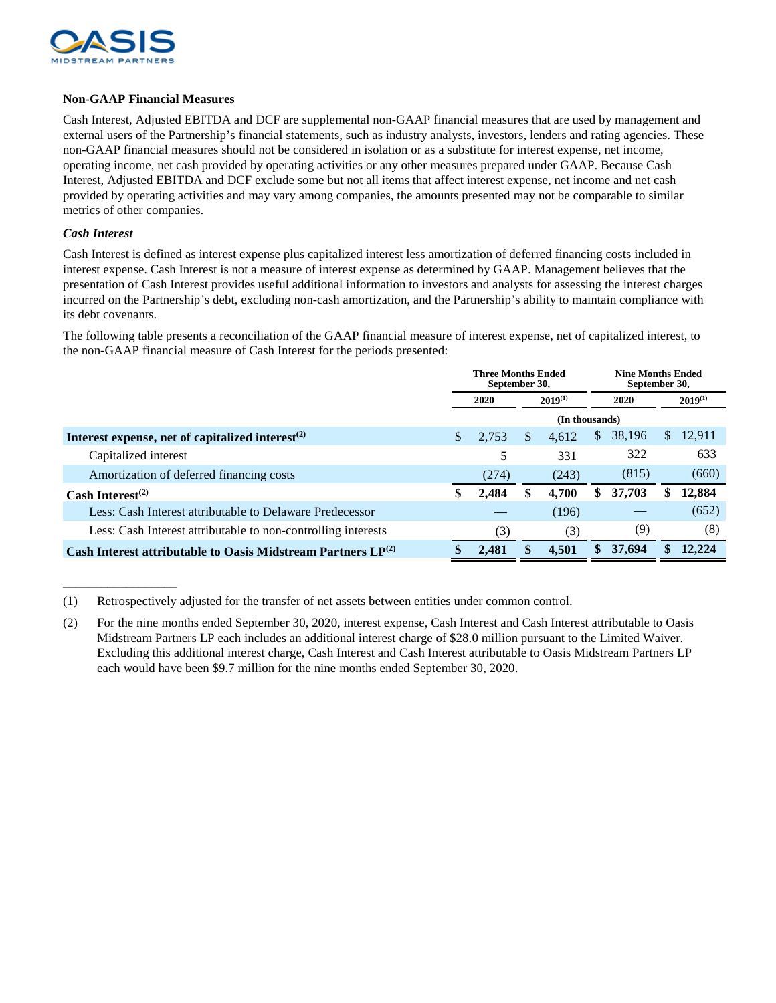

## **Non-GAAP Financial Measures**

Cash Interest, Adjusted EBITDA and DCF are supplemental non-GAAP financial measures that are used by management and external users of the Partnership's financial statements, such as industry analysts, investors, lenders and rating agencies. These non-GAAP financial measures should not be considered in isolation or as a substitute for interest expense, net income, operating income, net cash provided by operating activities or any other measures prepared under GAAP. Because Cash Interest, Adjusted EBITDA and DCF exclude some but not all items that affect interest expense, net income and net cash provided by operating activities and may vary among companies, the amounts presented may not be comparable to similar metrics of other companies.

## *Cash Interest*

\_\_\_\_\_\_\_\_\_\_\_\_\_\_\_\_\_\_

Cash Interest is defined as interest expense plus capitalized interest less amortization of deferred financing costs included in interest expense. Cash Interest is not a measure of interest expense as determined by GAAP. Management believes that the presentation of Cash Interest provides useful additional information to investors and analysts for assessing the interest charges incurred on the Partnership's debt, excluding non-cash amortization, and the Partnership's ability to maintain compliance with its debt covenants.

The following table presents a reconciliation of the GAAP financial measure of interest expense, net of capitalized interest, to the non-GAAP financial measure of Cash Interest for the periods presented:

|                                                                   | <b>Three Months Ended</b><br>September 30, |       |    |              | <b>Nine Months Ended</b><br>September 30, |        |    |              |  |
|-------------------------------------------------------------------|--------------------------------------------|-------|----|--------------|-------------------------------------------|--------|----|--------------|--|
|                                                                   |                                            | 2020  |    | $2019^{(1)}$ |                                           | 2020   |    | $2019^{(1)}$ |  |
|                                                                   | (In thousands)                             |       |    |              |                                           |        |    |              |  |
| Interest expense, net of capitalized interest $(2)$               | S.                                         | 2,753 | \$ | 4.612        | \$                                        | 38,196 | S. | 12,911       |  |
| Capitalized interest                                              |                                            | 5     |    | 331          |                                           | 322    |    | 633          |  |
| Amortization of deferred financing costs                          |                                            | (274) |    | (243)        |                                           | (815)  |    | (660)        |  |
| Cash Interest <sup>(2)</sup>                                      |                                            | 2,484 | \$ | 4,700        | \$                                        | 37,703 | S. | 12,884       |  |
| Less: Cash Interest attributable to Delaware Predecessor          |                                            |       |    | (196)        |                                           |        |    | (652)        |  |
| Less: Cash Interest attributable to non-controlling interests     |                                            | (3)   |    | (3)          |                                           | (9)    |    | (8)          |  |
| Cash Interest attributable to Oasis Midstream Partners $LP^{(2)}$ |                                            | 2,481 | \$ | 4,501        | \$                                        | 37,694 |    | 12.224       |  |

<sup>(1)</sup> Retrospectively adjusted for the transfer of net assets between entities under common control.

<sup>(2)</sup> For the nine months ended September 30, 2020, interest expense, Cash Interest and Cash Interest attributable to Oasis Midstream Partners LP each includes an additional interest charge of \$28.0 million pursuant to the Limited Waiver. Excluding this additional interest charge, Cash Interest and Cash Interest attributable to Oasis Midstream Partners LP each would have been \$9.7 million for the nine months ended September 30, 2020.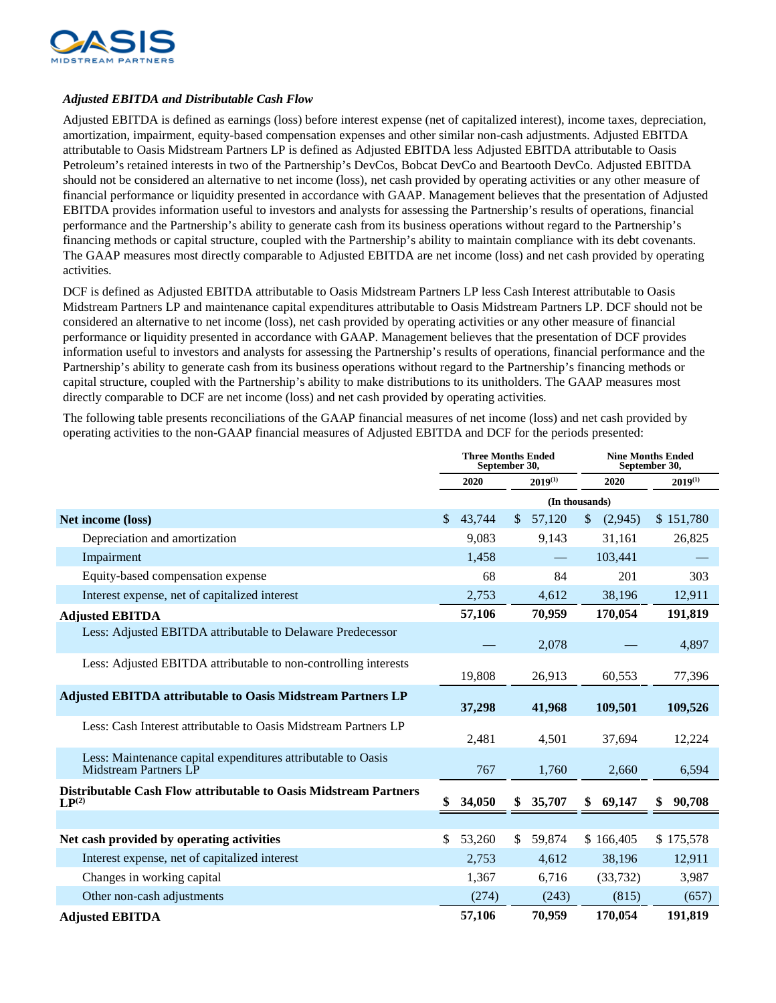

## *Adjusted EBITDA and Distributable Cash Flow*

Adjusted EBITDA is defined as earnings (loss) before interest expense (net of capitalized interest), income taxes, depreciation, amortization, impairment, equity-based compensation expenses and other similar non-cash adjustments. Adjusted EBITDA attributable to Oasis Midstream Partners LP is defined as Adjusted EBITDA less Adjusted EBITDA attributable to Oasis Petroleum's retained interests in two of the Partnership's DevCos, Bobcat DevCo and Beartooth DevCo. Adjusted EBITDA should not be considered an alternative to net income (loss), net cash provided by operating activities or any other measure of financial performance or liquidity presented in accordance with GAAP. Management believes that the presentation of Adjusted EBITDA provides information useful to investors and analysts for assessing the Partnership's results of operations, financial performance and the Partnership's ability to generate cash from its business operations without regard to the Partnership's financing methods or capital structure, coupled with the Partnership's ability to maintain compliance with its debt covenants. The GAAP measures most directly comparable to Adjusted EBITDA are net income (loss) and net cash provided by operating activities.

DCF is defined as Adjusted EBITDA attributable to Oasis Midstream Partners LP less Cash Interest attributable to Oasis Midstream Partners LP and maintenance capital expenditures attributable to Oasis Midstream Partners LP. DCF should not be considered an alternative to net income (loss), net cash provided by operating activities or any other measure of financial performance or liquidity presented in accordance with GAAP. Management believes that the presentation of DCF provides information useful to investors and analysts for assessing the Partnership's results of operations, financial performance and the Partnership's ability to generate cash from its business operations without regard to the Partnership's financing methods or capital structure, coupled with the Partnership's ability to make distributions to its unitholders. The GAAP measures most directly comparable to DCF are net income (loss) and net cash provided by operating activities.

The following table presents reconciliations of the GAAP financial measures of net income (loss) and net cash provided by operating activities to the non-GAAP financial measures of Adjusted EBITDA and DCF for the periods presented:

|                                                                                              | <b>Three Months Ended</b><br>September 30, |        |              |                | <b>Nine Months Ended</b><br>September 30, |           |  |              |
|----------------------------------------------------------------------------------------------|--------------------------------------------|--------|--------------|----------------|-------------------------------------------|-----------|--|--------------|
|                                                                                              |                                            | 2020   | $2019^{(1)}$ |                | 2020                                      |           |  | $2019^{(1)}$ |
|                                                                                              |                                            |        |              | (In thousands) |                                           |           |  |              |
| Net income (loss)                                                                            | \$                                         | 43,744 | $\mathbb{S}$ | 57,120         | $\mathbb{S}$                              | (2,945)   |  | \$151,780    |
| Depreciation and amortization                                                                |                                            | 9,083  |              | 9,143          |                                           | 31,161    |  | 26,825       |
| Impairment                                                                                   |                                            | 1,458  |              |                |                                           | 103,441   |  |              |
| Equity-based compensation expense                                                            |                                            | 68     |              | 84             |                                           | 201       |  | 303          |
| Interest expense, net of capitalized interest                                                |                                            | 2,753  |              | 4,612          |                                           | 38,196    |  | 12,911       |
| <b>Adjusted EBITDA</b>                                                                       |                                            | 57,106 |              | 70,959         |                                           | 170,054   |  | 191,819      |
| Less: Adjusted EBITDA attributable to Delaware Predecessor                                   |                                            |        |              | 2,078          |                                           |           |  | 4,897        |
| Less: Adjusted EBITDA attributable to non-controlling interests                              |                                            | 19,808 |              | 26,913         |                                           | 60,553    |  | 77,396       |
| <b>Adjusted EBITDA attributable to Oasis Midstream Partners LP</b>                           |                                            | 37,298 |              | 41,968         |                                           | 109,501   |  | 109,526      |
| Less: Cash Interest attributable to Oasis Midstream Partners LP                              |                                            | 2,481  |              | 4,501          |                                           | 37,694    |  | 12,224       |
| Less: Maintenance capital expenditures attributable to Oasis<br><b>Midstream Partners LP</b> |                                            | 767    |              | 1,760          |                                           | 2,660     |  | 6,594        |
| Distributable Cash Flow attributable to Oasis Midstream Partners<br>$LP^{(2)}$               |                                            | 34,050 |              | 35,707         |                                           | 69,147    |  | 90,708       |
|                                                                                              |                                            |        |              |                |                                           |           |  |              |
| Net cash provided by operating activities                                                    | \$                                         | 53,260 | $\mathbb{S}$ | 59,874         |                                           | \$166,405 |  | \$175,578    |
| Interest expense, net of capitalized interest                                                |                                            | 2,753  |              | 4,612          |                                           | 38,196    |  | 12,911       |
| Changes in working capital                                                                   |                                            | 1,367  |              | 6,716          |                                           | (33, 732) |  | 3,987        |
| Other non-cash adjustments                                                                   |                                            | (274)  |              | (243)          |                                           | (815)     |  | (657)        |
| <b>Adjusted EBITDA</b>                                                                       |                                            | 57,106 |              | 70,959         |                                           | 170,054   |  | 191,819      |